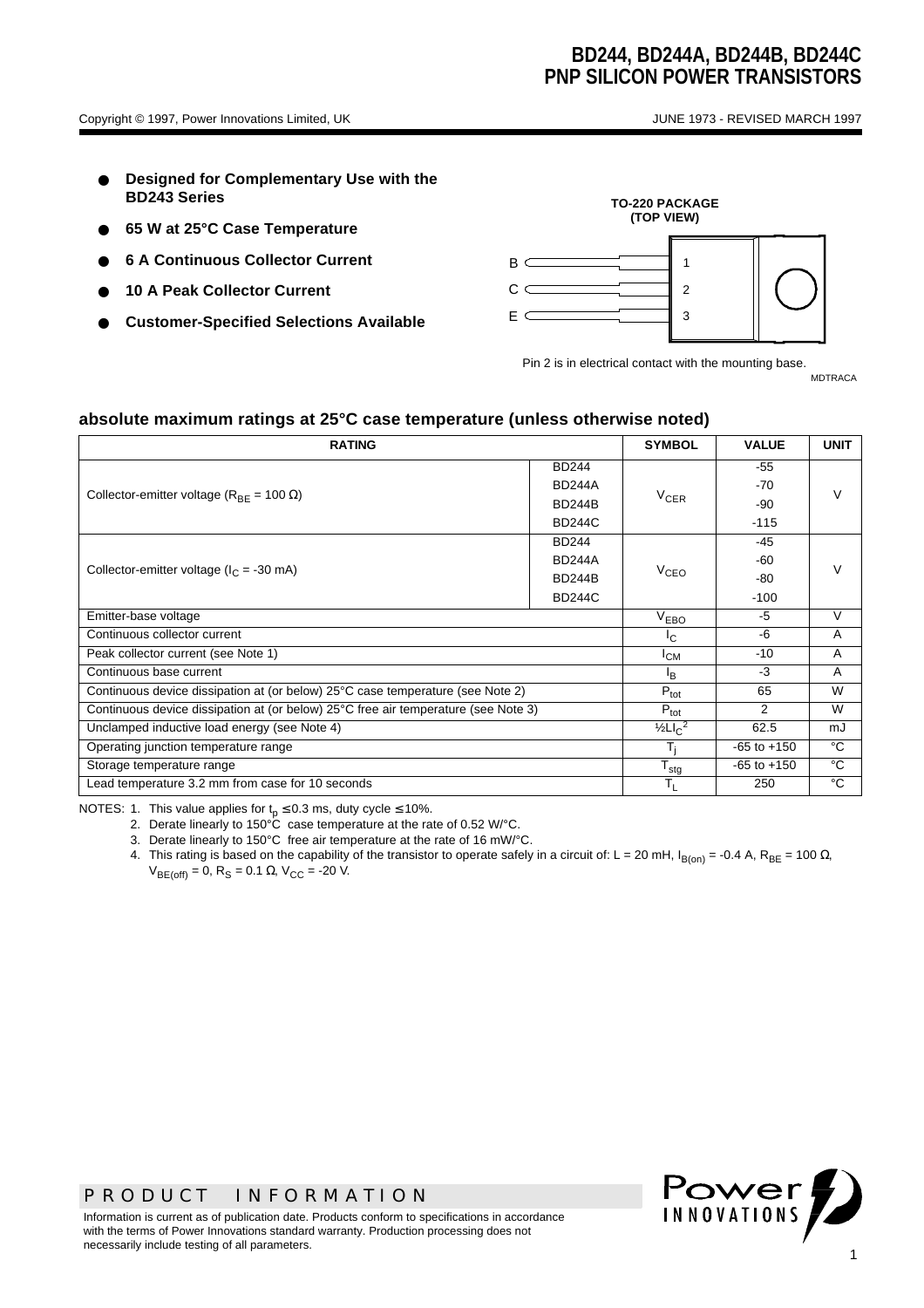- **Designed for Complementary Use with the BD243 Series**
- **65 W at 25°C Case Temperature**
- **6 A Continuous Collector Current**
- **10 A Peak Collector Current**
- **Customer-Specified Selections Available**



Pin 2 is in electrical contact with the mounting base. MDTRACA

**absolute maximum ratings at 25°C case temperature (unless otherwise noted)**

| <b>RATING</b>                                                                      |                  |                 | <b>VALUE</b>    | <b>UNIT</b> |  |
|------------------------------------------------------------------------------------|------------------|-----------------|-----------------|-------------|--|
|                                                                                    | <b>BD244</b>     |                 | -55             |             |  |
| Collector-emitter voltage ( $R_{BF}$ = 100 $\Omega$ )                              | <b>BD244A</b>    |                 | $-70$           | V           |  |
|                                                                                    | <b>BD244B</b>    | $V_{CER}$       | -90             |             |  |
|                                                                                    | <b>BD244C</b>    |                 | $-115$          |             |  |
|                                                                                    | <b>BD244</b>     |                 | $-45$           |             |  |
| Collector-emitter voltage ( $I_C$ = -30 mA)                                        | <b>BD244A</b>    |                 | -60             |             |  |
|                                                                                    | <b>BD244B</b>    | $V_{CEO}$       | -80             |             |  |
|                                                                                    | <b>BD244C</b>    |                 | $-100$          |             |  |
| Emitter-base voltage                                                               |                  |                 | $-5$            | V           |  |
| Continuous collector current                                                       | $I_{\rm C}$      | -6              | A               |             |  |
| Peak collector current (see Note 1)                                                | $I_{CM}$         | $-10$           | Α               |             |  |
| Continuous base current                                                            | <sup>I</sup> B   | $-3$            | Α               |             |  |
| Continuous device dissipation at (or below) 25°C case temperature (see Note 2)     |                  |                 | 65              | W           |  |
| Continuous device dissipation at (or below) 25°C free air temperature (see Note 3) |                  |                 | $\mathcal{P}$   | W           |  |
| Unclamped inductive load energy (see Note 4)                                       |                  |                 | 62.5            | mJ          |  |
| Operating junction temperature range                                               |                  |                 | $-65$ to $+150$ | °C          |  |
| Storage temperature range                                                          | $T_{\text{stg}}$ | $-65$ to $+150$ | °C              |             |  |
| Lead temperature 3.2 mm from case for 10 seconds                                   | T <sub>L</sub>   | 250             | °C              |             |  |

NOTES: 1. This value applies for  $t_p \le 0.3$  ms, duty cycle  $\le 10\%$ .

2. Derate linearly to 150°C case temperature at the rate of 0.52 W/°C.

3. Derate linearly to 150°C free air temperature at the rate of 16 mW/°C.

4. This rating is based on the capability of the transistor to operate safely in a circuit of: L = 20 mH, I<sub>B(on)</sub> = -0.4 A, R<sub>BE</sub> = 100 Ω,  $V_{BE(off)} = 0$ , R<sub>S</sub> = 0.1 Ω, V<sub>CC</sub> = -20 V.

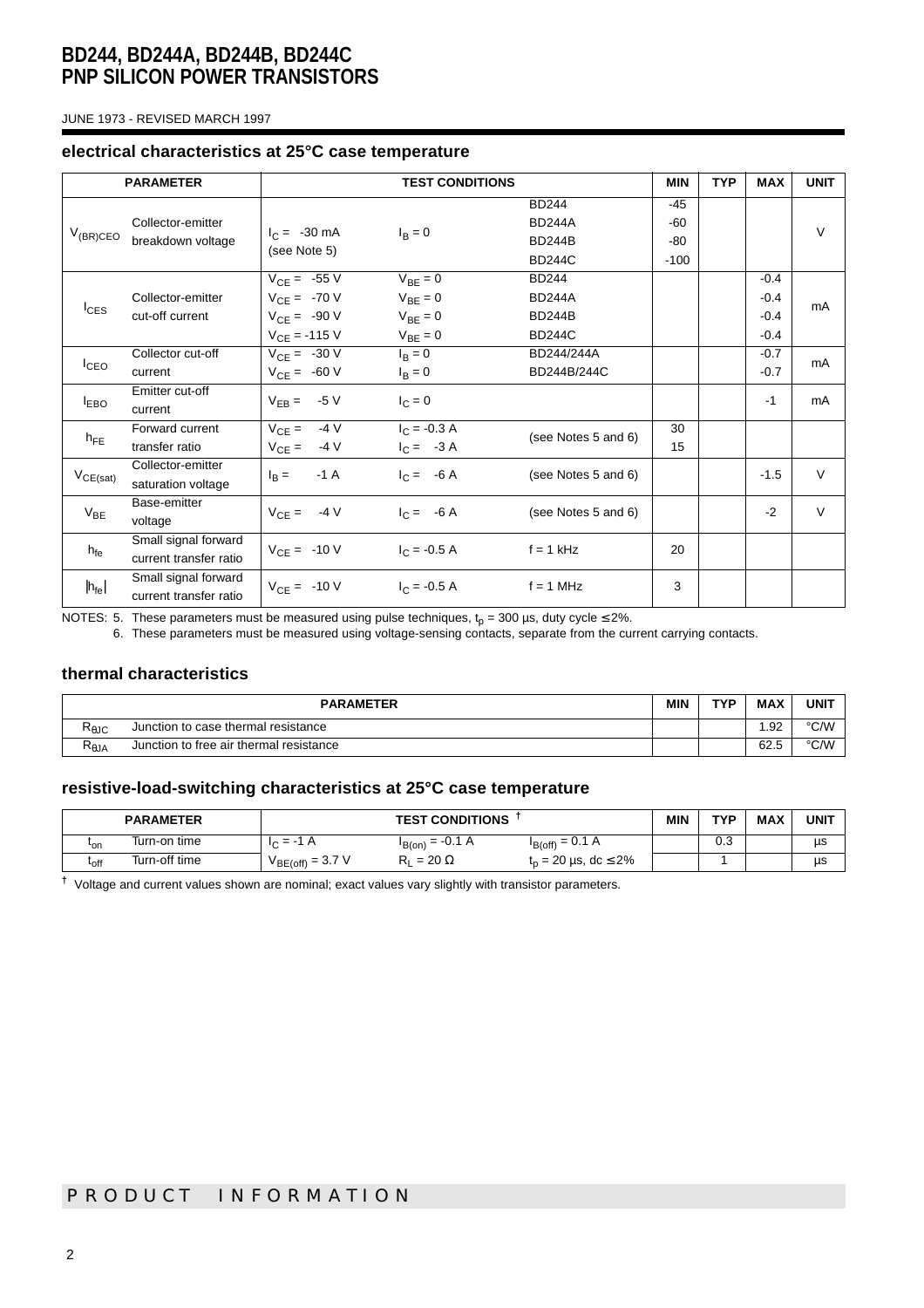JUNE 1973 - REVISED MARCH 1997

#### **electrical characteristics at 25°C case temperature**

|                                                         | <b>PARAMETER</b><br><b>TEST CONDITIONS</b> |                        |                | <b>MIN</b>          | <b>TYP</b> | <b>MAX</b> | <b>UNIT</b> |        |
|---------------------------------------------------------|--------------------------------------------|------------------------|----------------|---------------------|------------|------------|-------------|--------|
|                                                         |                                            |                        |                | <b>BD244</b>        | $-45$      |            |             |        |
| Collector-emitter<br>$V_{(BR)CEO}$<br>breakdown voltage |                                            | $I_C = -30 \text{ mA}$ | $I_B = 0$      | <b>BD244A</b>       | $-60$      |            |             | $\vee$ |
|                                                         |                                            | (see Note 5)           |                | <b>BD244B</b>       | $-80$      |            |             |        |
|                                                         |                                            |                        |                | <b>BD244C</b>       | $-100$     |            |             |        |
|                                                         |                                            | $V_{CF} = -55 V$       | $V_{BF} = 0$   | <b>BD244</b>        |            |            | $-0.4$      |        |
| $I_{CES}$                                               | Collector-emitter<br>cut-off current       | $V_{CE} = -70 V$       | $V_{BE} = 0$   | <b>BD244A</b>       |            |            | $-0.4$      | mA     |
|                                                         |                                            | $V_{CE} = -90 V$       | $V_{BE} = 0$   | <b>BD244B</b>       |            |            | $-0.4$      |        |
|                                                         |                                            | $V_{CE} = -115 V$      | $V_{BE} = 0$   | <b>BD244C</b>       |            |            | $-0.4$      |        |
|                                                         | Collector cut-off                          | $V_{CE} = -30 V$       | $I_B = 0$      | BD244/244A          |            |            | $-0.7$      | mA     |
| I <sub>CEO</sub>                                        | current                                    | $V_{CE} = -60 V$       | $I_B = 0$      | BD244B/244C         |            |            | $-0.7$      |        |
|                                                         | Emitter cut-off                            | $V_{EB} = -5 V$        | $I_C = 0$      |                     |            |            | $-1$        | mA     |
| <b>LEBO</b>                                             | current                                    |                        |                |                     |            |            |             |        |
| $h_{FE}$                                                | Forward current                            | $V_{CE} = 4V$          | $I_C = -0.3 A$ | (see Notes 5 and 6) | 30         |            |             |        |
|                                                         | transfer ratio                             | $V_{CE} = -4 V$        | $I_C = -3 A$   |                     | 15         |            |             |        |
| $V_{CE(sat)}$                                           | Collector-emitter                          | $-1A$<br>$I_R =$       | $I_C = -6 A$   | (see Notes 5 and 6) |            |            | $-1.5$      | $\vee$ |
|                                                         | saturation voltage                         |                        |                |                     |            |            |             |        |
| $V_{BE}$                                                | Base-emitter                               | $V_{CE} = -4 V$        | $I_C = -6A$    | (see Notes 5 and 6) |            |            | $-2$        | $\vee$ |
|                                                         | voltage                                    |                        |                |                     |            |            |             |        |
| $h_{\text{fe}}$                                         | Small signal forward                       | $V_{CE} = -10 V$       | $I_C = -0.5 A$ | $f = 1$ kHz         | 20         |            |             |        |
|                                                         | current transfer ratio                     |                        |                |                     |            |            |             |        |
| $ h_{\text{fe}} $                                       | Small signal forward                       | $V_{CE} = -10 V$       | $I_C = -0.5 A$ | $f = 1$ MHz         | 3          |            |             |        |
|                                                         | current transfer ratio                     |                        |                |                     |            |            |             |        |

NOTES: 5. These parameters must be measured using pulse techniques,  ${\rm t_p}$  = 300 µs, duty cycle ≤ 2%.

6. These parameters must be measured using voltage-sensing contacts, separate from the current carrying contacts.

#### **thermal characteristics**

| <b>PARAMETER</b>                      |                                         |  | TVD | <b>MAX</b> | <b>UNIT</b> |
|---------------------------------------|-----------------------------------------|--|-----|------------|-------------|
| Ւ⊕JC                                  | Junction to case thermal resistance     |  |     | .92        | °C/W        |
| $\mathsf{R}_{\boldsymbol{\theta}}$ JA | Junction to free air thermal resistance |  |     | 62.5       | °C/W        |

#### **resistive-load-switching characteristics at 25°C case temperature**

|                  | <b>PARAMETER</b> | <b>TEST CONDITIONS</b> |                      |                                    | <b>MIN</b> | TYP | <b>MAX</b> | <b>UNIT</b> |
|------------------|------------------|------------------------|----------------------|------------------------------------|------------|-----|------------|-------------|
| ւ <sub>on</sub>  | Turn-on time     | Ά<br>$= -1$<br>$\sim$  | $I_{B(0n)} = -0.1 A$ | $I_{B(off)} = 0.1 A$               |            | 0.3 |            | us          |
| <sup>L</sup> off | Turn-off time    | $V_{BE(off)} = 3.7 V$  | $= 20 \Omega$        | $t_n = 20 \,\mu s, \, dc \leq 2\%$ |            |     |            | μs          |

**†** Voltage and current values shown are nominal; exact values vary slightly with transistor parameters.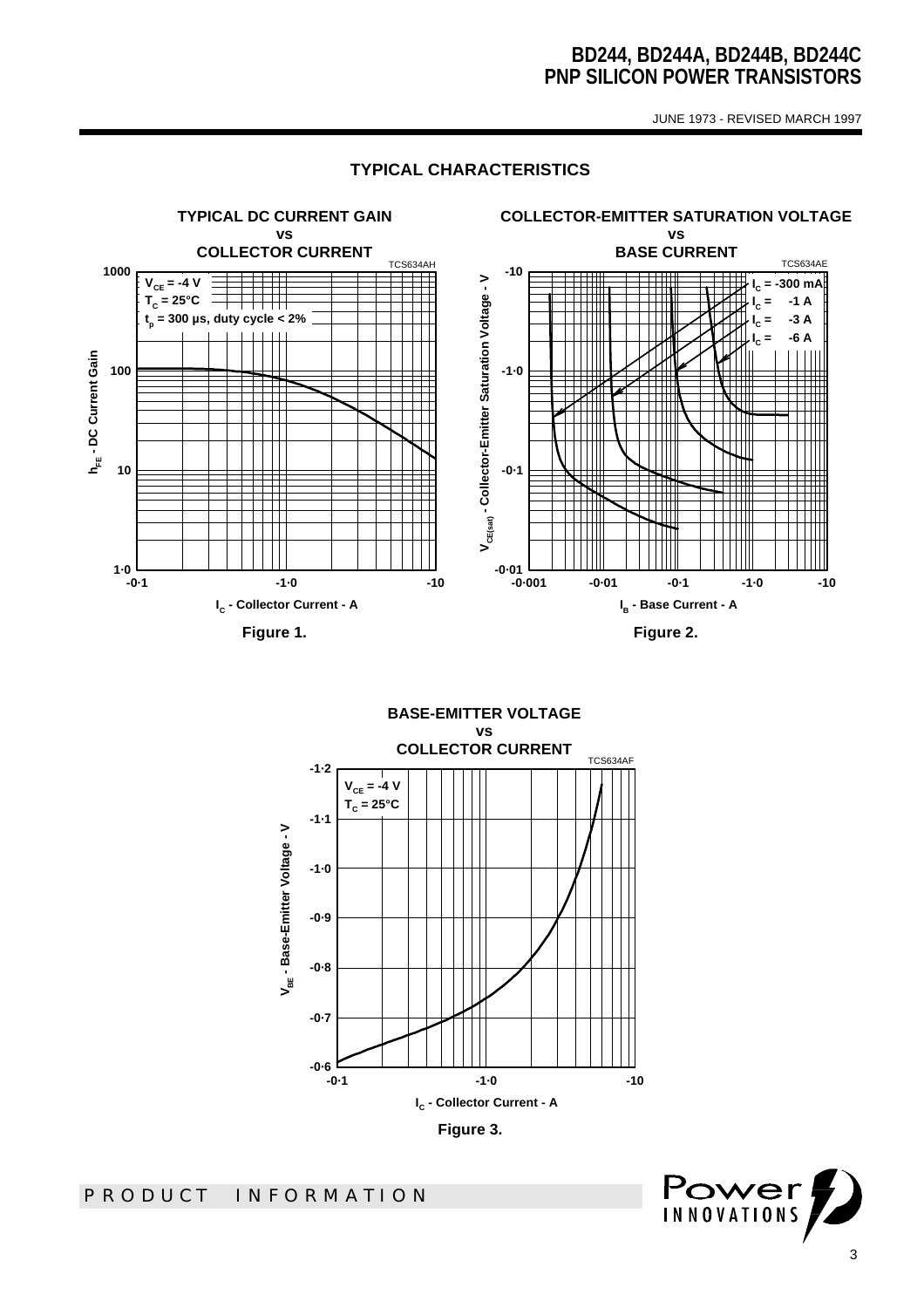JUNE 1973 - REVISED MARCH 1997

#### **TYPICAL CHARACTERISTICS**



**BASE-EMITTER VOLTAGE vs COLLECTOR CURRENT** TCS634AF **-1·2**  $V_{CE} = -4 V$ **TC = 25°C-1·1** V<sub>BE</sub> - Base-Emitter Voltage - V **VBE - Base-Emitter Voltage - V -1·0 -0·9 -0·8 -0·7** — 0.<sub>6</sub><br>1-0− **-0·1 -1·0 -10 IC - Collector Current - A Figure 3.** 

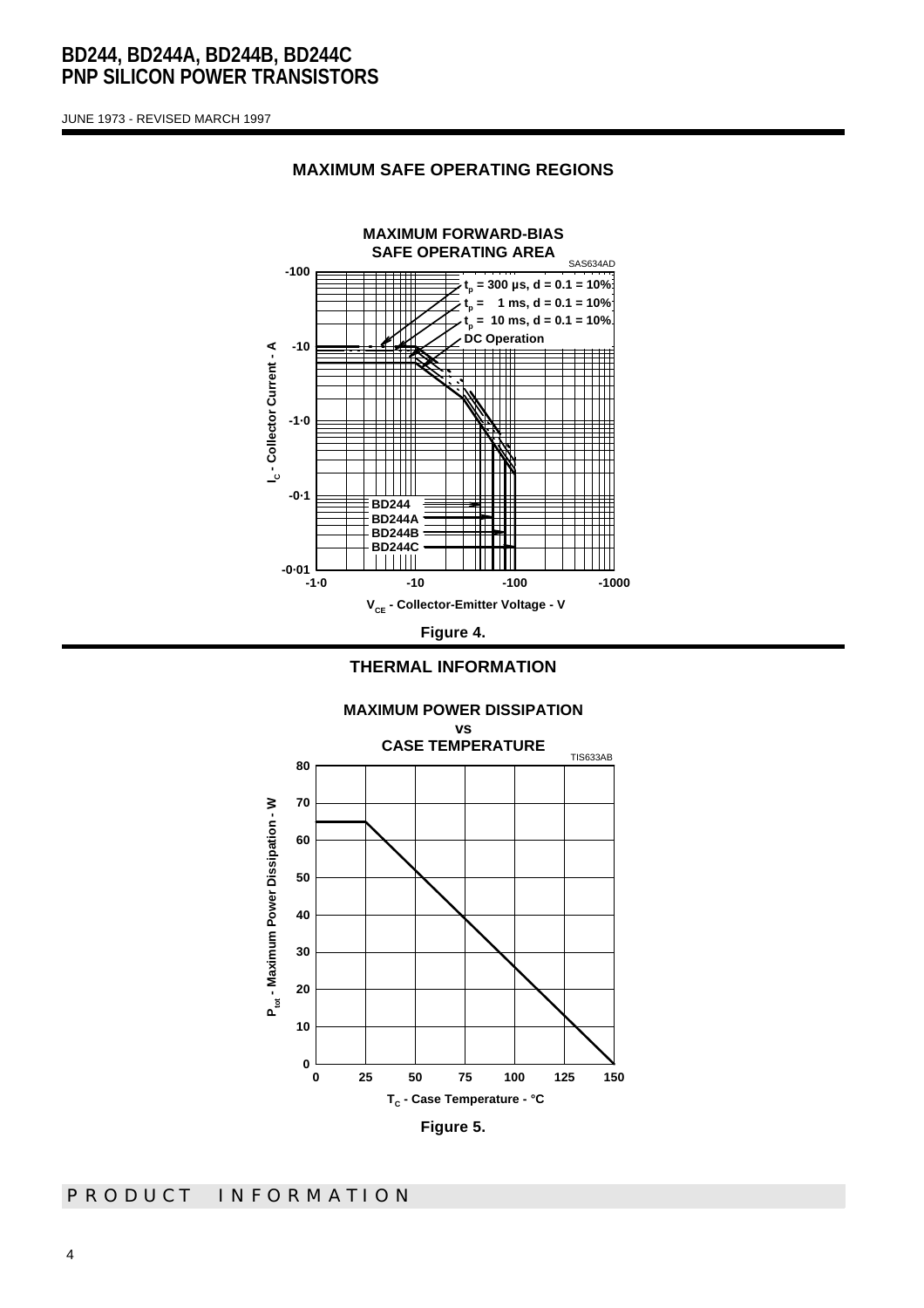JUNE 1973 - REVISED MARCH 1997



#### **MAXIMUM SAFE OPERATING REGIONS**



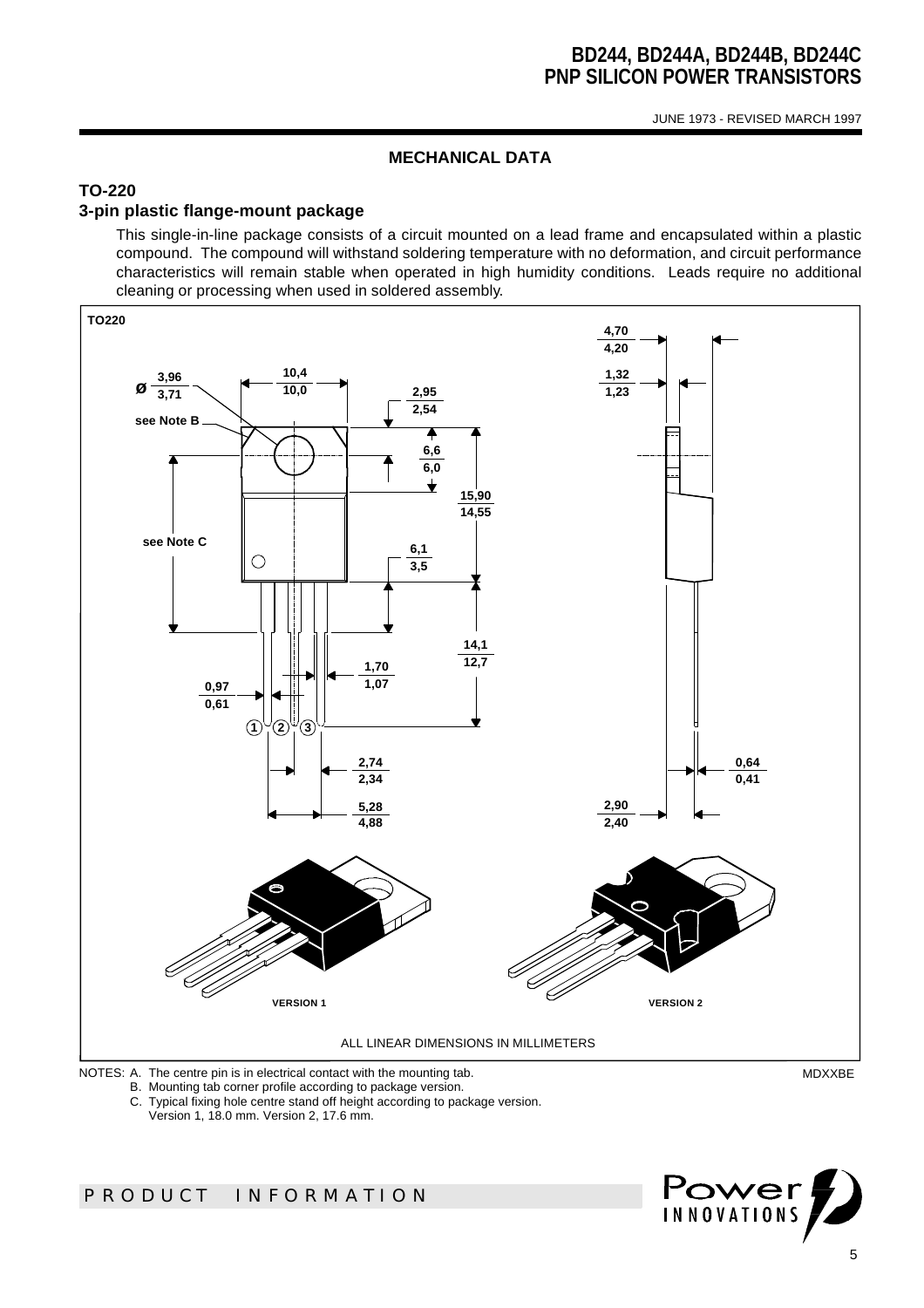JUNE 1973 - REVISED MARCH 1997

### **MECHANICAL DATA**

### **TO-220**

### **3-pin plastic flange-mount package**

This single-in-line package consists of a circuit mounted on a lead frame and encapsulated within a plastic compound. The compound will withstand soldering temperature with no deformation, and circuit performance characteristics will remain stable when operated in high humidity conditions. Leads require no additional cleaning or processing when used in soldered assembly.



B. Mounting tab corner profile according to package version.

C. Typical fixing hole centre stand off height according to package version.

Version 1, 18.0 mm. Version 2, 17.6 mm.